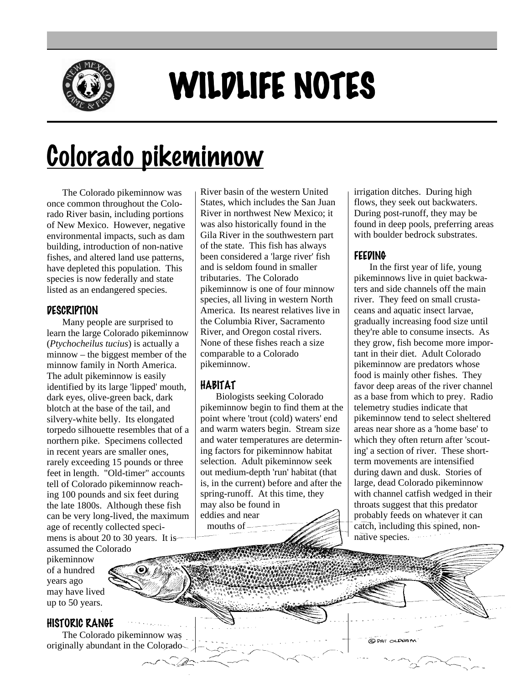

# WILDLIFE NOTES

# Colorado pikeminnow

The Colorado pikeminnow was once common throughout the Colorado River basin, including portions of New Mexico. However, negative environmental impacts, such as dam building, introduction of non-native fishes, and altered land use patterns, have depleted this population. This species is now federally and state listed as an endangered species.

# **DESCRIPTION**

Many people are surprised to learn the large Colorado pikeminnow (*Ptychocheilus tucius*) is actually a minnow – the biggest member of the minnow family in North America. The adult pikeminnow is easily identified by its large 'lipped' mouth, dark eyes, olive-green back, dark blotch at the base of the tail, and silvery-white belly. Its elongated torpedo silhouette resembles that of a northern pike. Specimens collected in recent years are smaller ones, rarely exceeding 15 pounds or three feet in length. "Old-timer" accounts tell of Colorado pikeminnow reaching 100 pounds and six feet during the late 1800s. Although these fish can be very long-lived, the maximum age of recently collected specimens is about 20 to 30 years. It is assumed the Colorado

pikeminnow of a hundred years ago may have lived up to 50 years.

# HISTORIC RANGE

The Colorado pikeminnow was originally abundant in the Colorado River basin of the western United States, which includes the San Juan River in northwest New Mexico; it was also historically found in the Gila River in the southwestern part of the state. This fish has always been considered a 'large river' fish and is seldom found in smaller tributaries. The Colorado pikeminnow is one of four minnow species, all living in western North America. Its nearest relatives live in the Columbia River, Sacramento River, and Oregon costal rivers. None of these fishes reach a size comparable to a Colorado pikeminnow.

# HABITAT

Biologists seeking Colorado pikeminnow begin to find them at the point where 'trout (cold) waters' end and warm waters begin. Stream size and water temperatures are determining factors for pikeminnow habitat selection. Adult pikeminnow seek out medium-depth 'run' habitat (that is, in the current) before and after the spring-runoff. At this time, they may also be found in eddies and near mouths of

irrigation ditches. During high flows, they seek out backwaters. During post-runoff, they may be found in deep pools, preferring areas with boulder bedrock substrates

# FEEDING

In the first year of life, young pikeminnows live in quiet backwaters and side channels off the main river. They feed on small crustaceans and aquatic insect larvae, gradually increasing food size until they're able to consume insects. As they grow, fish become more important in their diet. Adult Colorado pikeminnow are predators whose food is mainly other fishes. They favor deep areas of the river channel as a base from which to prey. Radio telemetry studies indicate that pikeminnow tend to select sheltered areas near shore as a 'home base' to which they often return after 'scouting' a section of river. These shortterm movements are intensified during dawn and dusk. Stories of large, dead Colorado pikeminnow with channel catfish wedged in their throats suggest that this predator probably feeds on whatever it can catch, including this spined, nonnative species.

C PAT OLD UM